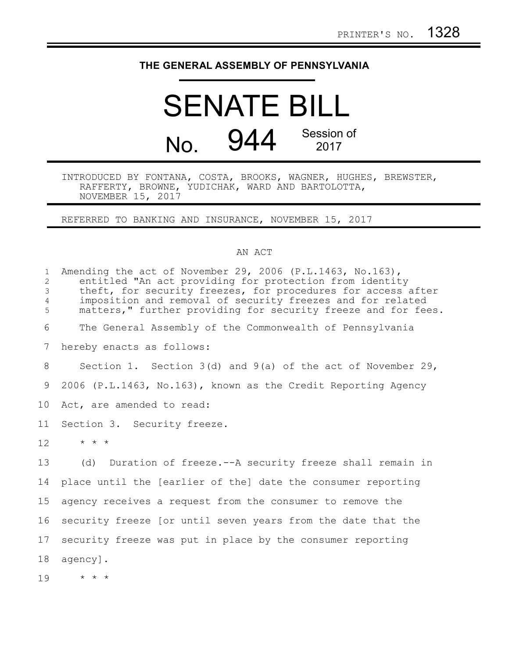## **THE GENERAL ASSEMBLY OF PENNSYLVANIA**

## SENATE BILL No. 944 Session of 2017

INTRODUCED BY FONTANA, COSTA, BROOKS, WAGNER, HUGHES, BREWSTER, RAFFERTY, BROWNE, YUDICHAK, WARD AND BARTOLOTTA, NOVEMBER 15, 2017

REFERRED TO BANKING AND INSURANCE, NOVEMBER 15, 2017

## AN ACT

| $\mathbf{1}$<br>$\overline{2}$<br>3<br>$\overline{4}$<br>5 | Amending the act of November 29, 2006 (P.L.1463, No.163),<br>entitled "An act providing for protection from identity<br>theft, for security freezes, for procedures for access after<br>imposition and removal of security freezes and for related<br>matters," further providing for security freeze and for fees. |
|------------------------------------------------------------|---------------------------------------------------------------------------------------------------------------------------------------------------------------------------------------------------------------------------------------------------------------------------------------------------------------------|
| 6                                                          | The General Assembly of the Commonwealth of Pennsylvania                                                                                                                                                                                                                                                            |
| 7                                                          | hereby enacts as follows:                                                                                                                                                                                                                                                                                           |
| 8                                                          | Section 1. Section $3(d)$ and $9(a)$ of the act of November 29,                                                                                                                                                                                                                                                     |
| 9                                                          | 2006 (P.L.1463, No.163), known as the Credit Reporting Agency                                                                                                                                                                                                                                                       |
| 10                                                         | Act, are amended to read:                                                                                                                                                                                                                                                                                           |
| 11                                                         | Section 3. Security freeze.                                                                                                                                                                                                                                                                                         |
| 12                                                         | $\star$ $\star$ $\star$                                                                                                                                                                                                                                                                                             |
| 13                                                         | (d) Duration of freeze.--A security freeze shall remain in                                                                                                                                                                                                                                                          |
| 14                                                         | place until the [earlier of the] date the consumer reporting                                                                                                                                                                                                                                                        |
| 15                                                         | agency receives a request from the consumer to remove the                                                                                                                                                                                                                                                           |
| 16                                                         | security freeze [or until seven years from the date that the                                                                                                                                                                                                                                                        |
| 17                                                         | security freeze was put in place by the consumer reporting                                                                                                                                                                                                                                                          |
| 18                                                         | agency].                                                                                                                                                                                                                                                                                                            |
| 19                                                         | $\star$ $\star$ $\star$                                                                                                                                                                                                                                                                                             |